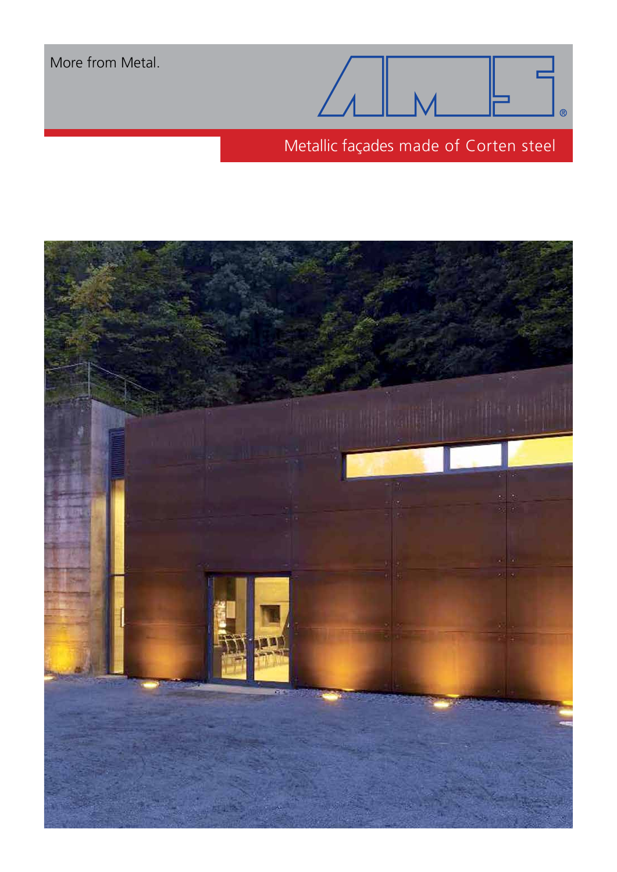More from Metal.



Metallic façades made of Corten steel

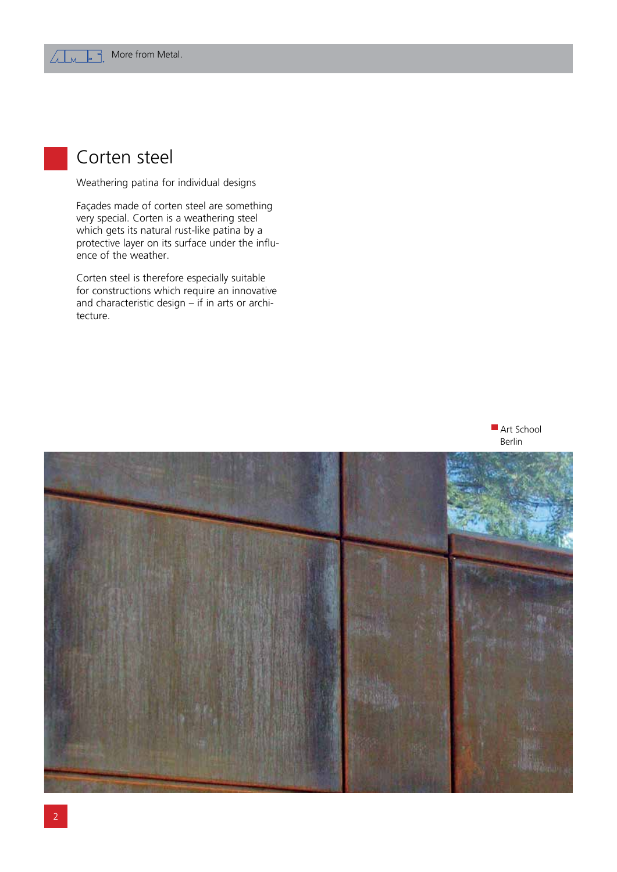

Weathering patina for individual designs

Façades made of corten steel are something very special. Corten is a weathering steel which gets its natural rust-like patina by a protective layer on its surface under the influence of the weather.

Corten steel is therefore especially suitable for constructions which require an innovative and characteristic design – if in arts or architecture.



Art School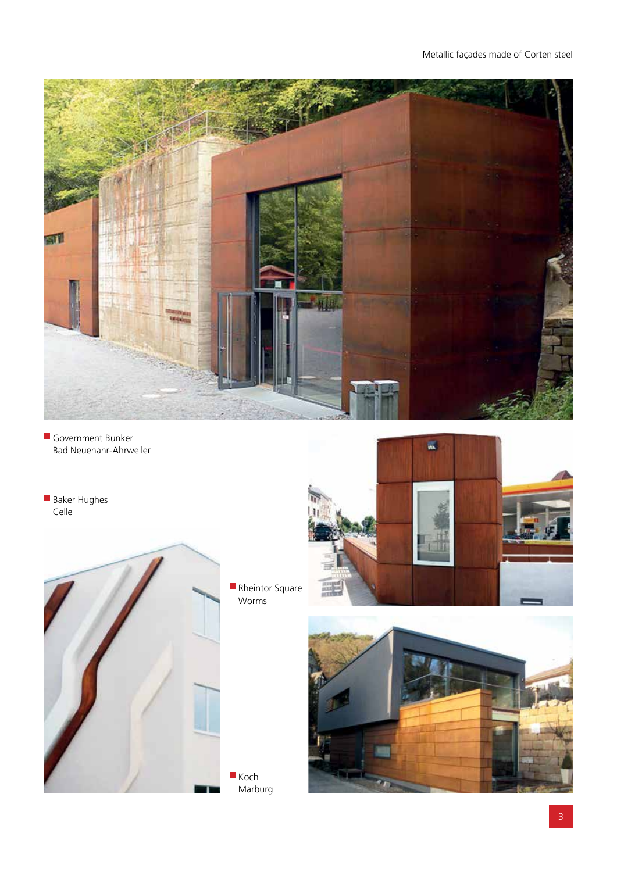

- Government Bunker Bad Neuenahr-Ahrweiler
- Baker Hughes Celle



Rheintor Square Worms

Marburg



 $\overline{\mathbf{w}}$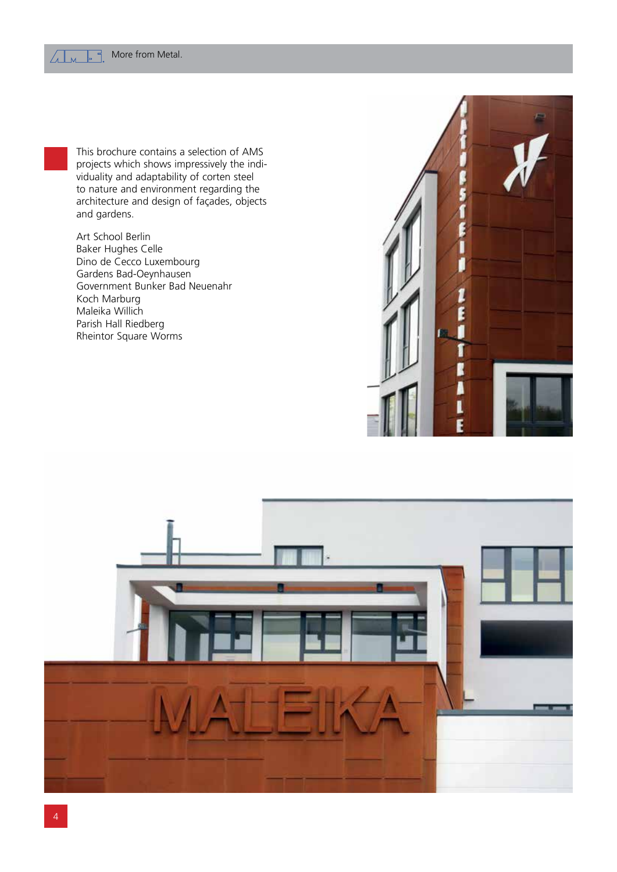

Art School Berlin Baker Hughes Celle Dino de Cecco Luxembourg Gardens Bad-Oeynhausen Government Bunker Bad Neuenahr Koch Marburg Maleika Willich Parish Hall Riedberg Rheintor Square Worms



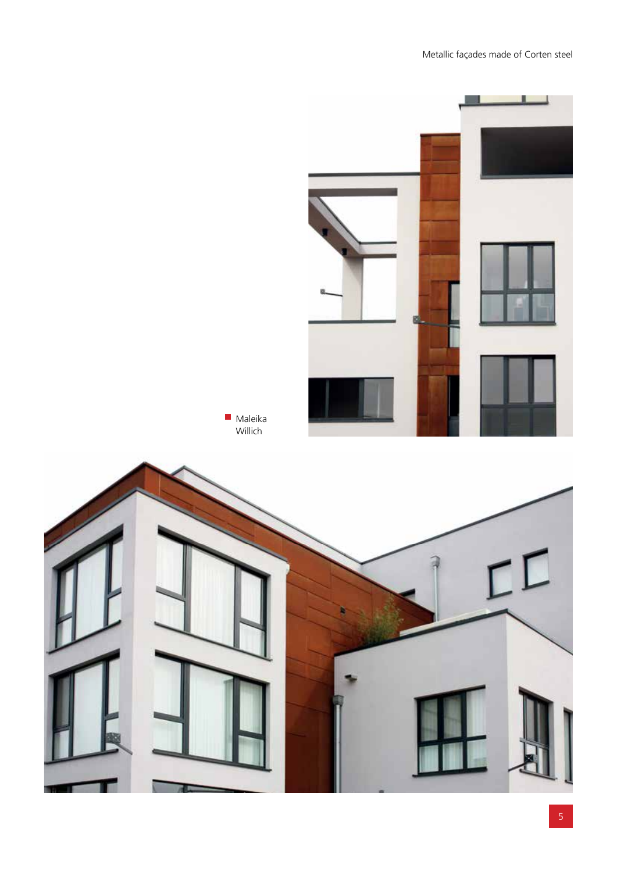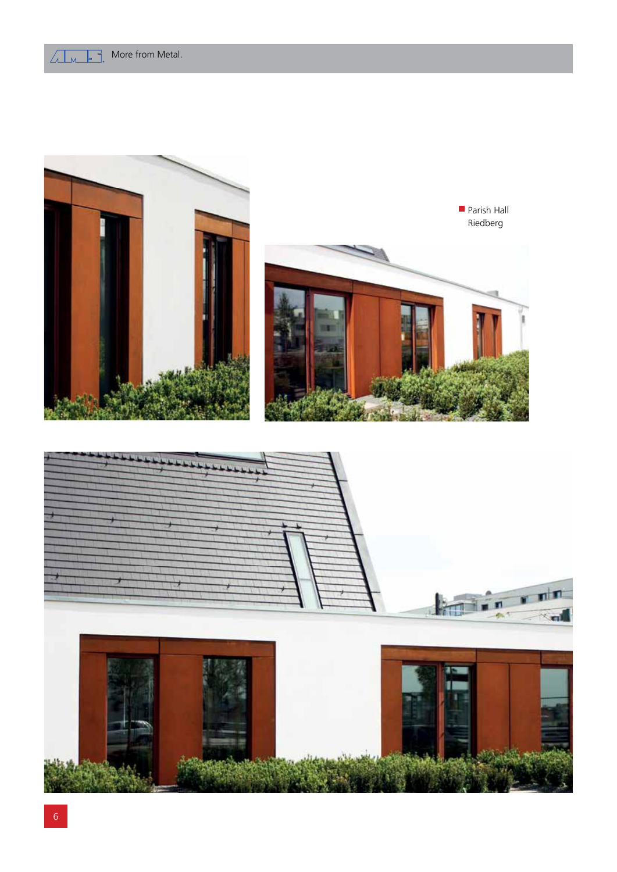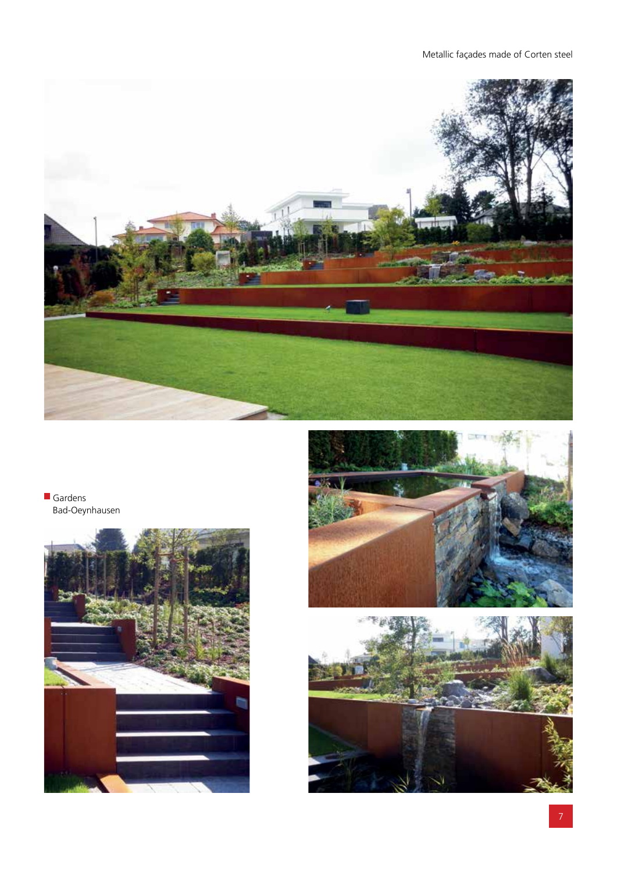

**Gardens** Bad-Oeynhausen